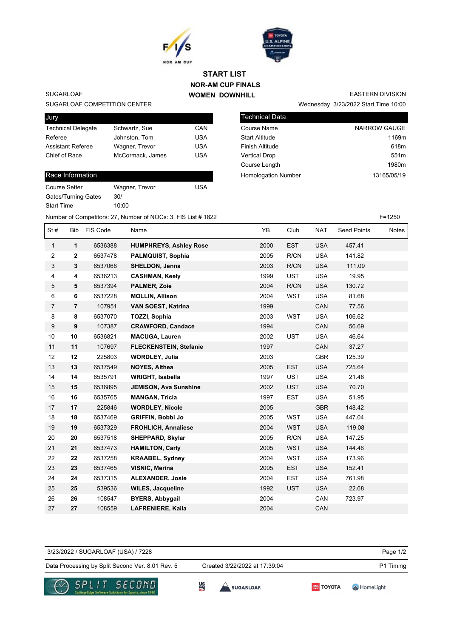



## **NOR-AM CUP FINALS WOMEN DOWNHILL START LIST**

## **SUGARLOAF**

SUGARLOAF COMPETITION CENTER

| Jury                      |                  |            |
|---------------------------|------------------|------------|
| <b>Technical Delegate</b> | Schwartz, Sue    | CAN        |
| Referee                   | Johnston, Tom    | <b>USA</b> |
| <b>Assistant Referee</b>  | Wagner, Trevor   | <b>USA</b> |
| Chief of Race             | McCormack, James | <b>USA</b> |
|                           |                  |            |

## Race Information

| <b>Course Setter</b> | Wagner, Trevor | USA |
|----------------------|----------------|-----|
| Gates/Turning Gates  | 30/            |     |
| <b>Start Time</b>    | 10:00          |     |
|                      |                |     |

| <b>EASTERN DIVISION</b>              |
|--------------------------------------|
| Wednesday 3/23/2022 Start Time 10:00 |

| <b>Technical Data</b>      |                   |
|----------------------------|-------------------|
| <b>Course Name</b>         | NARROW GAUGE      |
| <b>Start Altitude</b>      | 1169m             |
| <b>Finish Altitude</b>     | 618m              |
| <b>Vertical Drop</b>       | 551 <sub>m</sub>  |
| Course Length              | 1980 <sub>m</sub> |
| <b>Homologation Number</b> | 13165/05/19       |

Number of Competitors: 27, Number of NOCs: 3, FIS List # 1822 F=1250 St # Bib FIS Code Name  $YB$  Club NAT Seed Points Notes  **1** 6536388 **HUMPHREYS, Ashley Rose** 2000 EST USA 457.41  **2** 6537478 **PALMQUIST, Sophia** 2005 R/CN USA 141.82  **3** 6537066 **SHELDON, Jenna** 2003 R/CN USA 111.09  **4** 6536213 **CASHMAN, Keely** 1999 UST USA 19.95  **5** 6537394 **PALMER, Zoie** 2004 R/CN USA 130.72  **6** 6537228 **MOLLIN, Allison** 2004 WST USA 81.68  **7** 107951 **VAN SOEST, Katrina** 1999 CAN 77.56  **8** 6537070 **TOZZI, Sophia** 2003 WST USA 106.62  **9** 107387 **CRAWFORD, Candace** 1994 CAN 56.69  **10** 6536821 **MACUGA, Lauren** 2002 UST USA 46.64  **11** 107697 **FLECKENSTEIN, Stefanie** 1997 CAN 37.27  **12** 225803 **WORDLEY, Julia** 2003 GBR 125.39  **13** 6537549 **NOYES, Althea** 2005 EST USA 725.64  **14** 6535791 **WRIGHT, Isabella** 1997 UST USA 21.46  **15** 6536895 **JEMISON, Ava Sunshine** 2002 UST USA 70.70  **16** 6535765 **MANGAN, Tricia** 1997 EST USA 51.95  **17** 225846 **WORDLEY, Nicole** 2005 GBR 148.42  **18** 6537469 **GRIFFIN, Bobbi Jo** 2005 WST USA 447.04  **19** 6537329 **FROHLICH, Annaliese** 2004 WST USA 119.08  **20** 6537518 **SHEPPARD, Skylar** 2005 R/CN USA 147.25  **21** 6537473 **HAMILTON, Carly** 2005 WST USA 144.46  **22** 6537258 **KRAABEL, Sydney** 2004 WST USA 173.96  **23** 6537465 **VISNIC, Merina** 2005 EST USA 152.41  **24** 6537315 **ALEXANDER, Josie** 2004 EST USA 761.98  **25** 539536 **WILES, Jacqueline** 1992 UST USA 22.68  **26** 108547 **BYERS, Abbygail** 2004 CAN 723.97  **27** 108559 **LAFRENIERE, Kaila** 2004 CAN

Page 1/2 Data Processing by Split Second Ver. 8.01 Rev. 5 Created 3/22/2022 at 17:39:04 P1 Timing 3/23/2022 / SUGARLOAF (USA) / 7228 Created 3/22/2022 at 17:39:04





쎪